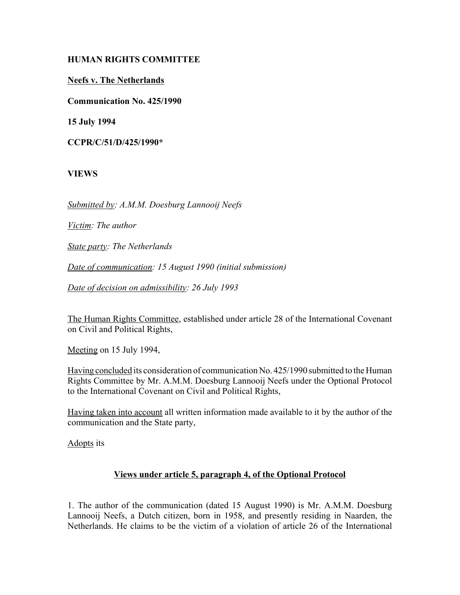#### **HUMAN RIGHTS COMMITTEE**

**Neefs v. The Netherlands**

**Communication No. 425/1990**

**15 July 1994**

**CCPR/C/51/D/425/1990\***

**VIEWS**

*Submitted by: A.M.M. Doesburg Lannooij Neefs*

*Victim: The author*

*State party: The Netherlands*

*Date of communication: 15 August 1990 (initial submission)*

*Date of decision on admissibility: 26 July 1993*

The Human Rights Committee, established under article 28 of the International Covenant on Civil and Political Rights,

Meeting on 15 July 1994,

Having concluded its consideration of communication No. 425/1990 submitted to the Human Rights Committee by Mr. A.M.M. Doesburg Lannooij Neefs under the Optional Protocol to the International Covenant on Civil and Political Rights,

Having taken into account all written information made available to it by the author of the communication and the State party,

Adopts its

# **Views under article 5, paragraph 4, of the Optional Protocol**

1. The author of the communication (dated 15 August 1990) is Mr. A.M.M. Doesburg Lannooij Neefs, a Dutch citizen, born in 1958, and presently residing in Naarden, the Netherlands. He claims to be the victim of a violation of article 26 of the International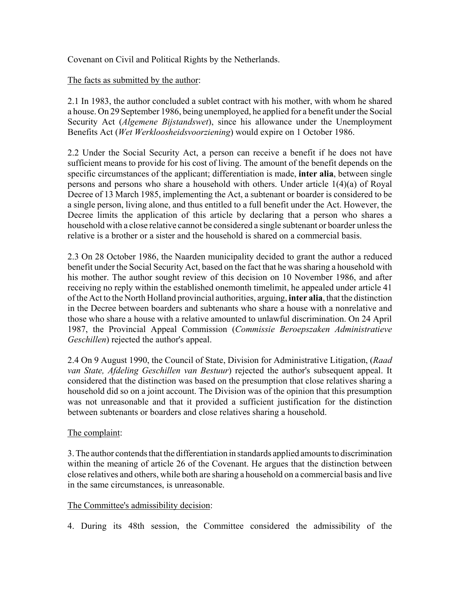Covenant on Civil and Political Rights by the Netherlands.

# The facts as submitted by the author:

2.1 In 1983, the author concluded a sublet contract with his mother, with whom he shared a house. On 29 September 1986, being unemployed, he applied for a benefit under the Social Security Act (*Algemene Bijstandswet*), since his allowance under the Unemployment Benefits Act (*Wet Werkloosheidsvoorziening*) would expire on 1 October 1986.

2.2 Under the Social Security Act, a person can receive a benefit if he does not have sufficient means to provide for his cost of living. The amount of the benefit depends on the specific circumstances of the applicant; differentiation is made, **inter alia**, between single persons and persons who share a household with others. Under article 1(4)(a) of Royal Decree of 13 March 1985, implementing the Act, a subtenant or boarder is considered to be a single person, living alone, and thus entitled to a full benefit under the Act. However, the Decree limits the application of this article by declaring that a person who shares a household with a close relative cannot be considered a single subtenant or boarder unless the relative is a brother or a sister and the household is shared on a commercial basis.

2.3 On 28 October 1986, the Naarden municipality decided to grant the author a reduced benefit under the Social Security Act, based on the fact that he was sharing a household with his mother. The author sought review of this decision on 10 November 1986, and after receiving no reply within the established onemonth timelimit, he appealed under article 41 of the Act to the North Holland provincial authorities, arguing, **inter alia**, that the distinction in the Decree between boarders and subtenants who share a house with a nonrelative and those who share a house with a relative amounted to unlawful discrimination. On 24 April 1987, the Provincial Appeal Commission (*Commissie Beroepszaken Administratieve Geschillen*) rejected the author's appeal.

2.4 On 9 August 1990, the Council of State, Division for Administrative Litigation, (*Raad van State, Afdeling Geschillen van Bestuur*) rejected the author's subsequent appeal. It considered that the distinction was based on the presumption that close relatives sharing a household did so on a joint account. The Division was of the opinion that this presumption was not unreasonable and that it provided a sufficient justification for the distinction between subtenants or boarders and close relatives sharing a household.

# The complaint:

3. The author contends that the differentiation in standards applied amounts to discrimination within the meaning of article 26 of the Covenant. He argues that the distinction between close relatives and others, while both are sharing a household on a commercial basis and live in the same circumstances, is unreasonable.

# The Committee's admissibility decision:

4. During its 48th session, the Committee considered the admissibility of the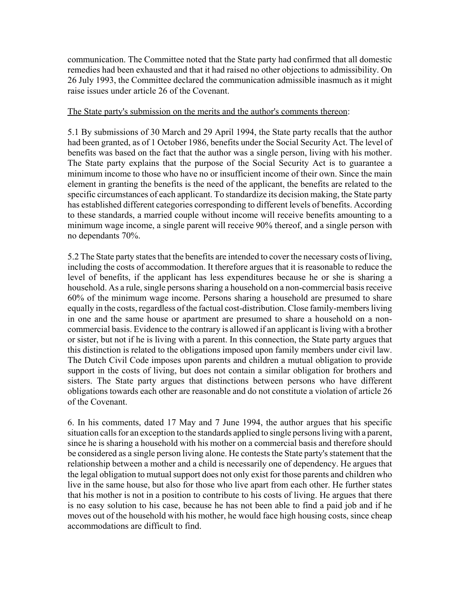communication. The Committee noted that the State party had confirmed that all domestic remedies had been exhausted and that it had raised no other objections to admissibility. On 26 July 1993, the Committee declared the communication admissible inasmuch as it might raise issues under article 26 of the Covenant.

#### The State party's submission on the merits and the author's comments thereon:

5.1 By submissions of 30 March and 29 April 1994, the State party recalls that the author had been granted, as of 1 October 1986, benefits under the Social Security Act. The level of benefits was based on the fact that the author was a single person, living with his mother. The State party explains that the purpose of the Social Security Act is to guarantee a minimum income to those who have no or insufficient income of their own. Since the main element in granting the benefits is the need of the applicant, the benefits are related to the specific circumstances of each applicant. To standardize its decision making, the State party has established different categories corresponding to different levels of benefits. According to these standards, a married couple without income will receive benefits amounting to a minimum wage income, a single parent will receive 90% thereof, and a single person with no dependants 70%.

5.2 The State party states that the benefits are intended to cover the necessary costs of living, including the costs of accommodation. It therefore argues that it is reasonable to reduce the level of benefits, if the applicant has less expenditures because he or she is sharing a household. As a rule, single persons sharing a household on a non-commercial basis receive 60% of the minimum wage income. Persons sharing a household are presumed to share equally in the costs, regardless of the factual cost-distribution. Close family-members living in one and the same house or apartment are presumed to share a household on a noncommercial basis. Evidence to the contrary is allowed if an applicant is living with a brother or sister, but not if he is living with a parent. In this connection, the State party argues that this distinction is related to the obligations imposed upon family members under civil law. The Dutch Civil Code imposes upon parents and children a mutual obligation to provide support in the costs of living, but does not contain a similar obligation for brothers and sisters. The State party argues that distinctions between persons who have different obligations towards each other are reasonable and do not constitute a violation of article 26 of the Covenant.

6. In his comments, dated 17 May and 7 June 1994, the author argues that his specific situation calls for an exception to the standards applied to single persons living with a parent, since he is sharing a household with his mother on a commercial basis and therefore should be considered as a single person living alone. He contests the State party's statement that the relationship between a mother and a child is necessarily one of dependency. He argues that the legal obligation to mutual support does not only exist for those parents and children who live in the same house, but also for those who live apart from each other. He further states that his mother is not in a position to contribute to his costs of living. He argues that there is no easy solution to his case, because he has not been able to find a paid job and if he moves out of the household with his mother, he would face high housing costs, since cheap accommodations are difficult to find.